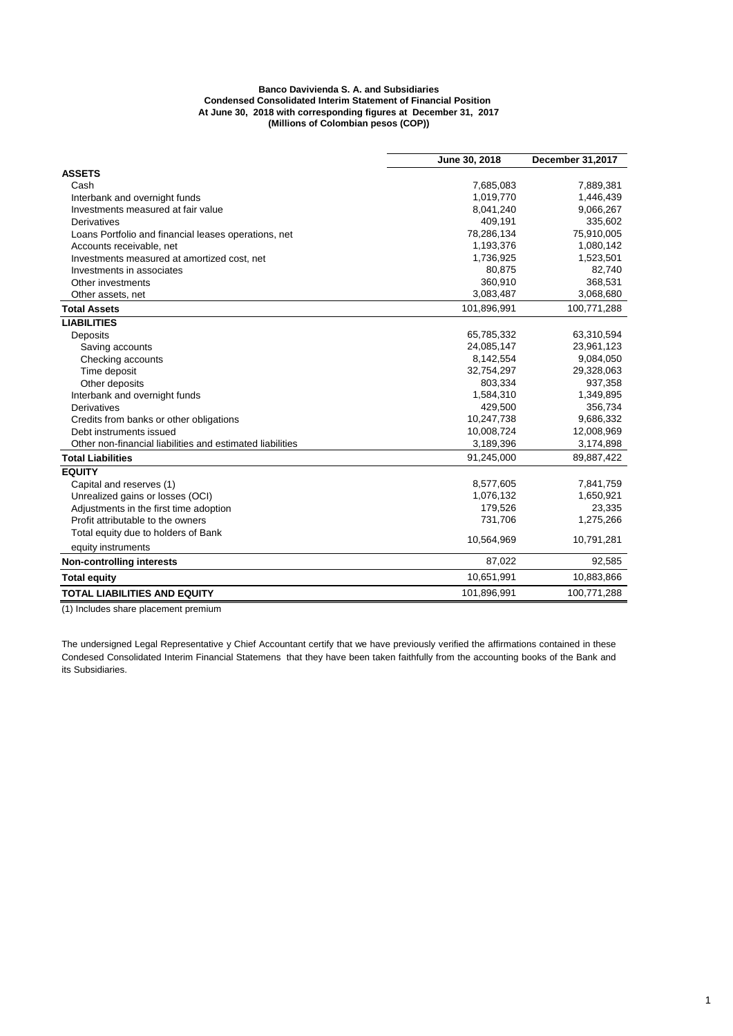## **Banco Davivienda S. A. and Subsidiaries Condensed Consolidated Interim Statement of Financial Position At June 30, 2018 with corresponding figures at December 31, 2017 (Millions of Colombian pesos (COP))**

|                                                           | June 30, 2018 | <b>December 31,2017</b> |  |
|-----------------------------------------------------------|---------------|-------------------------|--|
| <b>ASSETS</b>                                             |               |                         |  |
| Cash                                                      | 7,685,083     | 7,889,381               |  |
| Interbank and overnight funds                             | 1,019,770     | 1,446,439               |  |
| Investments measured at fair value                        | 8,041,240     | 9,066,267               |  |
| Derivatives                                               | 409,191       | 335,602                 |  |
| Loans Portfolio and financial leases operations, net      | 78,286,134    | 75,910,005              |  |
| Accounts receivable, net                                  | 1,193,376     | 1,080,142               |  |
| Investments measured at amortized cost, net               | 1,736,925     | 1,523,501               |  |
| Investments in associates                                 | 80,875        | 82,740                  |  |
| Other investments                                         | 360,910       | 368,531                 |  |
| Other assets, net                                         | 3,083,487     | 3,068,680               |  |
| <b>Total Assets</b>                                       | 101,896,991   | 100,771,288             |  |
| <b>LIABILITIES</b>                                        |               |                         |  |
| Deposits                                                  | 65,785,332    | 63,310,594              |  |
| Saving accounts                                           | 24,085,147    | 23,961,123              |  |
| Checking accounts                                         | 8,142,554     | 9,084,050               |  |
| Time deposit                                              | 32,754,297    | 29,328,063              |  |
| Other deposits                                            | 803.334       | 937,358                 |  |
| Interbank and overnight funds                             | 1,584,310     | 1,349,895               |  |
| Derivatives                                               | 429,500       | 356,734                 |  |
| Credits from banks or other obligations                   | 10,247,738    | 9,686,332               |  |
| Debt instruments issued                                   | 10,008,724    | 12,008,969              |  |
| Other non-financial liabilities and estimated liabilities | 3,189,396     | 3,174,898               |  |
| <b>Total Liabilities</b>                                  | 91,245,000    | 89,887,422              |  |
| <b>EQUITY</b>                                             |               |                         |  |
| Capital and reserves (1)                                  | 8,577,605     | 7,841,759               |  |
| Unrealized gains or losses (OCI)                          | 1,076,132     | 1,650,921               |  |
| Adjustments in the first time adoption                    | 179,526       | 23,335                  |  |
| Profit attributable to the owners                         | 731,706       | 1,275,266               |  |
| Total equity due to holders of Bank                       | 10,564,969    |                         |  |
| equity instruments                                        |               | 10,791,281              |  |
| <b>Non-controlling interests</b>                          | 87,022        | 92,585                  |  |
| <b>Total equity</b>                                       | 10,651,991    | 10,883,866              |  |
| <b>TOTAL LIABILITIES AND EQUITY</b>                       | 101,896,991   | 100,771,288             |  |

(1) Includes share placement premium

The undersigned Legal Representative y Chief Accountant certify that we have previously verified the affirmations contained in these Condesed Consolidated Interim Financial Statemens that they have been taken faithfully from the accounting books of the Bank and its Subsidiaries.